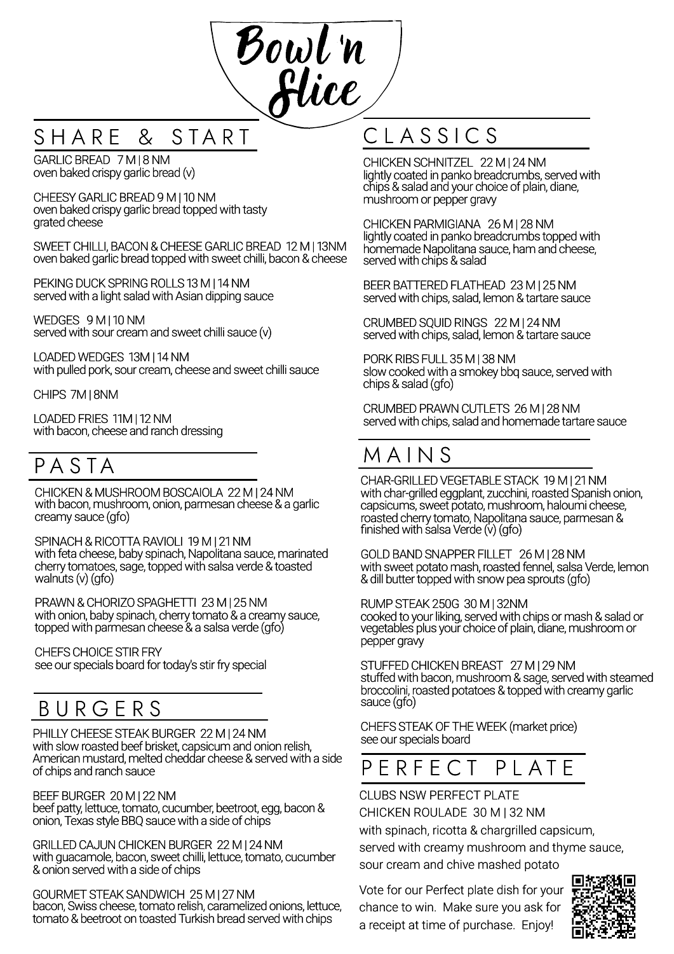

### SHARE & START

GARLIC BREAD 7 M | 8 NM oven baked crispy garlic bread (v)

CHEESY GARLIC BREAD 9 M I 10 NM oven baked crispy garlic bread topped with tasty grated cheese

SWEET CHILLI, BACON & CHEESE GARLIC BREAD 12 M | 13NM oven baked garlic bread topped with sweet chilli, bacon & cheese

PEKING DUCK SPRING ROLLS 13 M | 14 NM served with a light salad with Asian dipping sauce

WEDGES 9 M | 10 NM served with sour cream and sweet chilli sauce (v)

LOADED WEDGES 13M | 14 NM with pulled pork, sour cream, cheese and sweet chilli sauce

CHIPS 7M | 8NM

LOADEDFRIES 11M | 12 NM with bacon, cheese and ranch dressing

### P A S T A

CHICKEN & MUSHROOM BOSCAIOLA 22 M | 24 NM with bacon, mushroom, onion, parmesan cheese & a garlic creamy sauce (gfo)

SPINACH & RICOTTA RAVIOLI 19 M | 21 NM with feta cheese, baby spinach, Napolitana sauce, marinated cherry tomatoes, sage, topped with salsa verde & toasted walnuts  $(v)$  (gfo)

PRAWN &CHORIZOSPAGHETTI 23 M | 25 NM with onion, baby spinach, cherry tomato & a creamy sauce, topped with parmesan cheese & a salsa verde (gfo)

CHEFSCHOICE STIR FRY see our specials board for today's stir fry special

### **BURGERS**

PHILLY CHEESE STEAK BURGER 22 M | 24 NM with slow roasted beef brisket, capsicum and onion relish, American mustard, melted cheddar cheese & served with a side of chips and ranch sauce

BEEF BURGER 20 M | 22 NM beef patty, lettuce, tomato, cucumber, beetroot, egg, bacon & onion, Texas style BBQ sauce with a side of chips

GRILLEDCAJUN CHICKEN BURGER 22 M | 24 NM with guacamole, bacon, sweet chilli, lettuce, tomato, cucumber & onion served with a side of chips

GOURMET STEAK SANDWICH 25 M | 27 NM bacon, Swiss cheese, tomato relish, caramelized onions, lettuce, tomato & beetroot on toasted Turkish bread served with chips

# C L A S S I C S

CHICKEN SCHNITZEL 22 M | 24 NM lightly coated in panko breadcrumbs, served with chips & salad and your choice of plain, diane, mushroom or pepper gravy

CHICKEN PARMIGIANA 26 M | 28 NM lightly coated in panko breadcrumbs topped with homemade Napolitana sauce, ham and cheese, served with chips & salad

BEER BATTEREDFLATHEAD 23 M | 25 NM served with chips, salad, lemon & tartare sauce

CRUMBED SQUID RINGS 22 M | 24 NM served with chips, salad, lemon & tartare sauce

PORK RIBS FULL 35 M | 38 NM slow cooked with a smokey bbq sauce, served with chips & salad (gfo)

CRUMBED PRAWN CUTLETS 26 M | 28 NM served with chips, salad and homemade tartare sauce

### M A I N S

CHAR-GRILLEDVEGETABLE STACK 19 M | 21 NM with char-grilled eggplant, zucchini, roasted Spanish onion, capsicums, sweet potato, mushroom, haloumi cheese, roasted cherry tomato, Napolitana sauce, parmesan & finished with salsa Verde (v) (gfo)

GOLDBANDSNAPPER FILLET 26 M | 28 NM with sweet potato mash, roasted fennel, salsa Verde, lemon & dill butter topped with snow pea sprouts (gfo)

RUMP STEAK 250G 30 M | 32NM cooked to your liking, served with chips or mash & salad or vegetables plus your choice of plain, diane, mushroom or pepper gravy

STUFFED CHICKEN BREAST 27 M | 29 NM stuffed with bacon, mushroom & sage, served with steamed broccolini, roasted potatoes & topped with creamy garlic sauce (gfo)

CHEFS STEAKOF THE WEEK (market price) see our specials board

### P F R F F C T P L A T F

### CLUBS NSW PERFECT PLATE

CHICKEN ROULADE 30 M | 32 NM with spinach, ricotta & chargrilled capsicum, served with creamy mushroom and thyme sauce, sour cream and chive mashed potato

Vote for our Perfect plate dish for your chance to win. Make sure you ask for a receipt at time of purchase. Enjoy!